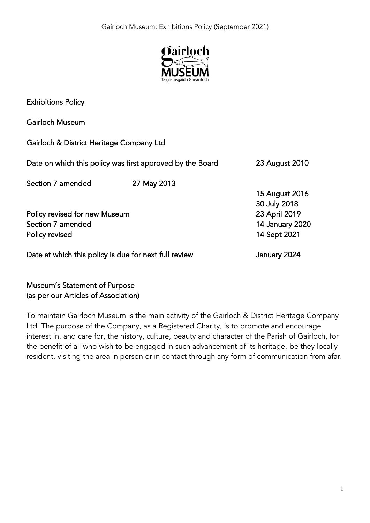

## Exhibitions Policy

Gairloch Museum Gairloch & District Heritage Company Ltd Date on which this policy was first approved by the Board 23 August 2010 Section 7 amended 27 May 2013 15 August 2016 30 July 2018 Policy revised for new Museum 23 April 2019 Section 7 amended 14 January 2020 Policy revised 2021 Date at which this policy is due for next full review The Manuary 2024

# Museum's Statement of Purpose (as per our Articles of Association)

To maintain Gairloch Museum is the main activity of the Gairloch & District Heritage Company Ltd. The purpose of the Company, as a Registered Charity, is to promote and encourage interest in, and care for, the history, culture, beauty and character of the Parish of Gairloch, for the benefit of all who wish to be engaged in such advancement of its heritage, be they locally resident, visiting the area in person or in contact through any form of communication from afar.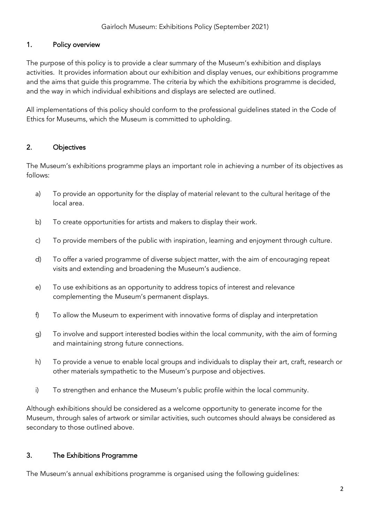### 1. Policy overview

The purpose of this policy is to provide a clear summary of the Museum's exhibition and displays activities. It provides information about our exhibition and display venues, our exhibitions programme and the aims that guide this programme. The criteria by which the exhibitions programme is decided, and the way in which individual exhibitions and displays are selected are outlined.

All implementations of this policy should conform to the professional guidelines stated in the Code of Ethics for Museums, which the Museum is committed to upholding.

## 2. Objectives

The Museum's exhibitions programme plays an important role in achieving a number of its objectives as follows:

- a) To provide an opportunity for the display of material relevant to the cultural heritage of the local area.
- b) To create opportunities for artists and makers to display their work.
- c) To provide members of the public with inspiration, learning and enjoyment through culture.
- d) To offer a varied programme of diverse subject matter, with the aim of encouraging repeat visits and extending and broadening the Museum's audience.
- e) To use exhibitions as an opportunity to address topics of interest and relevance complementing the Museum's permanent displays.
- f) To allow the Museum to experiment with innovative forms of display and interpretation
- g) To involve and support interested bodies within the local community, with the aim of forming and maintaining strong future connections.
- h) To provide a venue to enable local groups and individuals to display their art, craft, research or other materials sympathetic to the Museum's purpose and objectives.
- i) To strengthen and enhance the Museum's public profile within the local community.

Although exhibitions should be considered as a welcome opportunity to generate income for the Museum, through sales of artwork or similar activities, such outcomes should always be considered as secondary to those outlined above.

#### 3. The Exhibitions Programme

The Museum's annual exhibitions programme is organised using the following guidelines: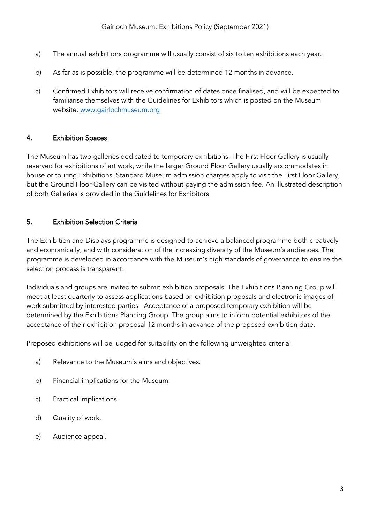- a) The annual exhibitions programme will usually consist of six to ten exhibitions each year.
- b) As far as is possible, the programme will be determined 12 months in advance.
- c) Confirmed Exhibitors will receive confirmation of dates once finalised, and will be expected to familiarise themselves with the Guidelines for Exhibitors which is posted on the Museum website: [www.gairlochmuseum.org](http://www.gairlochmuseum.org/)

#### 4. Exhibition Spaces

The Museum has two galleries dedicated to temporary exhibitions. The First Floor Gallery is usually reserved for exhibitions of art work, while the larger Ground Floor Gallery usually accommodates in house or touring Exhibitions. Standard Museum admission charges apply to visit the First Floor Gallery, but the Ground Floor Gallery can be visited without paying the admission fee. An illustrated description of both Galleries is provided in the Guidelines for Exhibitors.

### 5. Exhibition Selection Criteria

The Exhibition and Displays programme is designed to achieve a balanced programme both creatively and economically, and with consideration of the increasing diversity of the Museum's audiences. The programme is developed in accordance with the Museum's high standards of governance to ensure the selection process is transparent.

Individuals and groups are invited to submit exhibition proposals. The Exhibitions Planning Group will meet at least quarterly to assess applications based on exhibition proposals and electronic images of work submitted by interested parties. Acceptance of a proposed temporary exhibition will be determined by the Exhibitions Planning Group. The group aims to inform potential exhibitors of the acceptance of their exhibition proposal 12 months in advance of the proposed exhibition date.

Proposed exhibitions will be judged for suitability on the following unweighted criteria:

- a) Relevance to the Museum's aims and objectives.
- b) Financial implications for the Museum.
- c) Practical implications.
- d) Quality of work.
- e) Audience appeal.